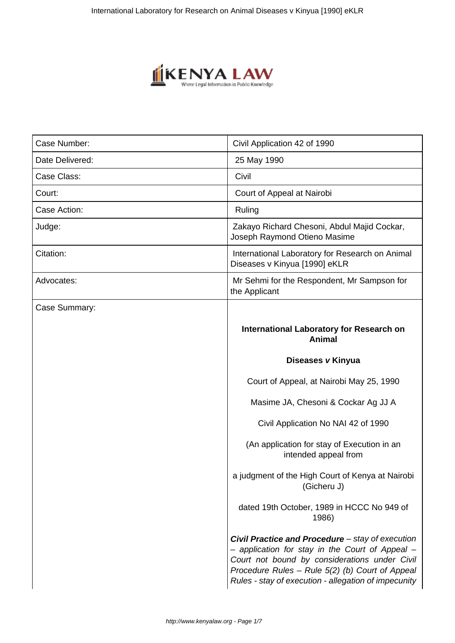

| Case Number:    | Civil Application 42 of 1990                                                                                                                                                                                                                                    |
|-----------------|-----------------------------------------------------------------------------------------------------------------------------------------------------------------------------------------------------------------------------------------------------------------|
| Date Delivered: | 25 May 1990                                                                                                                                                                                                                                                     |
| Case Class:     | Civil                                                                                                                                                                                                                                                           |
| Court:          | Court of Appeal at Nairobi                                                                                                                                                                                                                                      |
| Case Action:    | Ruling                                                                                                                                                                                                                                                          |
| Judge:          | Zakayo Richard Chesoni, Abdul Majid Cockar,<br>Joseph Raymond Otieno Masime                                                                                                                                                                                     |
| Citation:       | International Laboratory for Research on Animal<br>Diseases v Kinyua [1990] eKLR                                                                                                                                                                                |
| Advocates:      | Mr Sehmi for the Respondent, Mr Sampson for<br>the Applicant                                                                                                                                                                                                    |
| Case Summary:   |                                                                                                                                                                                                                                                                 |
|                 | <b>International Laboratory for Research on</b><br><b>Animal</b>                                                                                                                                                                                                |
|                 | Diseases v Kinyua                                                                                                                                                                                                                                               |
|                 | Court of Appeal, at Nairobi May 25, 1990                                                                                                                                                                                                                        |
|                 | Masime JA, Chesoni & Cockar Ag JJ A                                                                                                                                                                                                                             |
|                 | Civil Application No NAI 42 of 1990                                                                                                                                                                                                                             |
|                 | (An application for stay of Execution in an<br>intended appeal from                                                                                                                                                                                             |
|                 | a judgment of the High Court of Kenya at Nairobi<br>(Gicheru J)                                                                                                                                                                                                 |
|                 | dated 19th October, 1989 in HCCC No 949 of<br>1986)                                                                                                                                                                                                             |
|                 | Civil Practice and Procedure - stay of execution<br>- application for stay in the Court of Appeal -<br>Court not bound by considerations under Civil<br>Procedure Rules - Rule 5(2) (b) Court of Appeal<br>Rules - stay of execution - allegation of impecunity |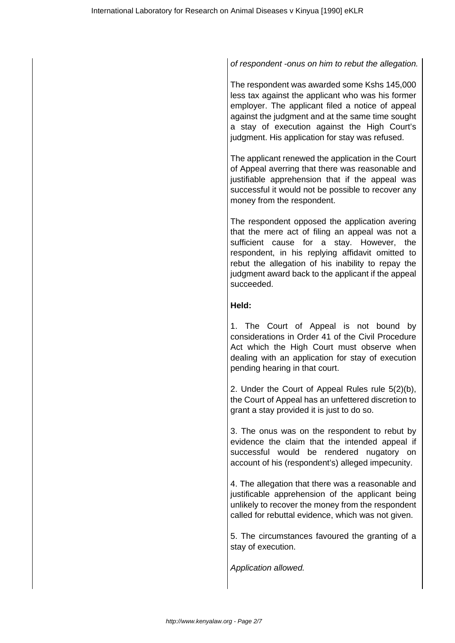## of respondent -onus on him to rebut the allegation.

The respondent was awarded some Kshs 145,000 less tax against the applicant who was his former employer. The applicant filed a notice of appeal against the judgment and at the same time sought a stay of execution against the High Court's judgment. His application for stay was refused.

The applicant renewed the application in the Court of Appeal averring that there was reasonable and justifiable apprehension that if the appeal was successful it would not be possible to recover any money from the respondent.

The respondent opposed the application avering that the mere act of filing an appeal was not a sufficient cause for a stay. However, the respondent, in his replying affidavit omitted to rebut the allegation of his inability to repay the judgment award back to the applicant if the appeal succeeded.

### **Held:**

1. The Court of Appeal is not bound by considerations in Order 41 of the Civil Procedure Act which the High Court must observe when dealing with an application for stay of execution pending hearing in that court.

2. Under the Court of Appeal Rules rule 5(2)(b), the Court of Appeal has an unfettered discretion to grant a stay provided it is just to do so.

3. The onus was on the respondent to rebut by evidence the claim that the intended appeal if successful would be rendered nugatory on account of his (respondent's) alleged impecunity.

4. The allegation that there was a reasonable and justificable apprehension of the applicant being unlikely to recover the money from the respondent called for rebuttal evidence, which was not given.

5. The circumstances favoured the granting of a stay of execution.

Application allowed.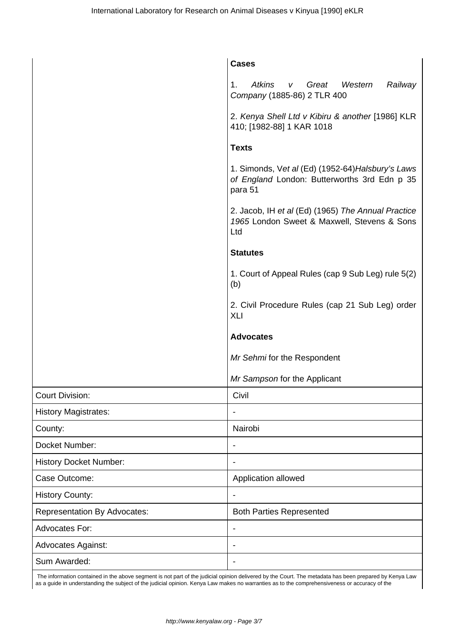|                                     | <b>Cases</b>                                                                                                 |
|-------------------------------------|--------------------------------------------------------------------------------------------------------------|
|                                     | <b>Atkins</b><br>Railway<br>1.<br>Great<br>Western<br>V<br>Company (1885-86) 2 TLR 400                       |
|                                     | 2. Kenya Shell Ltd v Kibiru & another [1986] KLR<br>410; [1982-88] 1 KAR 1018                                |
|                                     | <b>Texts</b>                                                                                                 |
|                                     | 1. Simonds, Vet al (Ed) (1952-64) Halsbury's Laws<br>of England London: Butterworths 3rd Edn p 35<br>para 51 |
|                                     | 2. Jacob, IH et al (Ed) (1965) The Annual Practice<br>1965 London Sweet & Maxwell, Stevens & Sons<br>Ltd     |
|                                     | <b>Statutes</b>                                                                                              |
|                                     | 1. Court of Appeal Rules (cap 9 Sub Leg) rule 5(2)<br>(b)                                                    |
|                                     | 2. Civil Procedure Rules (cap 21 Sub Leg) order<br><b>XLI</b>                                                |
|                                     | <b>Advocates</b>                                                                                             |
|                                     | Mr Sehmi for the Respondent                                                                                  |
|                                     | Mr Sampson for the Applicant                                                                                 |
| <b>Court Division:</b>              | Civil                                                                                                        |
| <b>History Magistrates:</b>         |                                                                                                              |
| County:                             | Nairobi                                                                                                      |
| Docket Number:                      |                                                                                                              |
| <b>History Docket Number:</b>       |                                                                                                              |
| Case Outcome:                       | Application allowed                                                                                          |
| <b>History County:</b>              |                                                                                                              |
| <b>Representation By Advocates:</b> | <b>Both Parties Represented</b>                                                                              |
| <b>Advocates For:</b>               |                                                                                                              |
| Advocates Against:                  |                                                                                                              |
| Sum Awarded:                        |                                                                                                              |
|                                     |                                                                                                              |

 The information contained in the above segment is not part of the judicial opinion delivered by the Court. The metadata has been prepared by Kenya Law as a guide in understanding the subject of the judicial opinion. Kenya Law makes no warranties as to the comprehensiveness or accuracy of the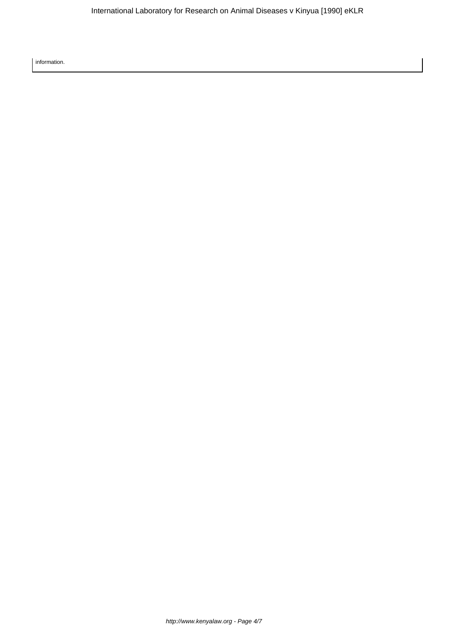information.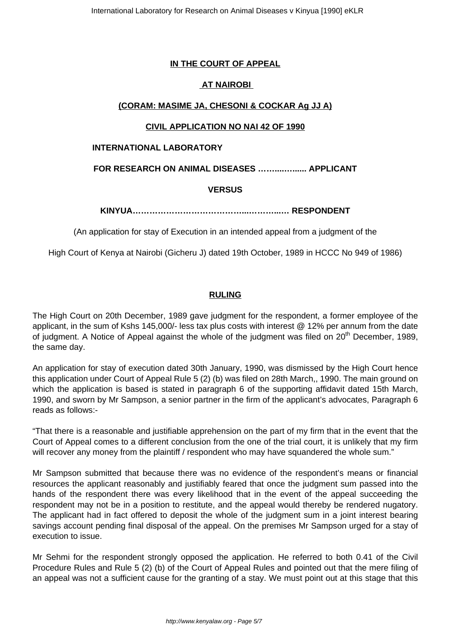# **IN THE COURT OF APPEAL**

# **AT NAIROBI**

## **(CORAM: MASIME JA, CHESONI & COCKAR Ag JJ A)**

## **CIVIL APPLICATION NO NAI 42 OF 1990**

### **INTERNATIONAL LABORATORY**

## **FOR RESEARCH ON ANIMAL DISEASES ……....…...... APPLICANT**

### **VERSUS**

**KINYUA…………………………………...………...… RESPONDENT**

(An application for stay of Execution in an intended appeal from a judgment of the

High Court of Kenya at Nairobi (Gicheru J) dated 19th October, 1989 in HCCC No 949 of 1986)

## **RULING**

The High Court on 20th December, 1989 gave judgment for the respondent, a former employee of the applicant, in the sum of Kshs 145,000/- less tax plus costs with interest @ 12% per annum from the date of judgment. A Notice of Appeal against the whole of the judgment was filed on 20<sup>th</sup> December. 1989. the same day.

An application for stay of execution dated 30th January, 1990, was dismissed by the High Court hence this application under Court of Appeal Rule 5 (2) (b) was filed on 28th March,, 1990. The main ground on which the application is based is stated in paragraph 6 of the supporting affidavit dated 15th March, 1990, and sworn by Mr Sampson, a senior partner in the firm of the applicant's advocates, Paragraph 6 reads as follows:-

"That there is a reasonable and justifiable apprehension on the part of my firm that in the event that the Court of Appeal comes to a different conclusion from the one of the trial court, it is unlikely that my firm will recover any money from the plaintiff / respondent who may have squandered the whole sum."

Mr Sampson submitted that because there was no evidence of the respondent's means or financial resources the applicant reasonably and justifiably feared that once the judgment sum passed into the hands of the respondent there was every likelihood that in the event of the appeal succeeding the respondent may not be in a position to restitute, and the appeal would thereby be rendered nugatory. The applicant had in fact offered to deposit the whole of the judgment sum in a joint interest bearing savings account pending final disposal of the appeal. On the premises Mr Sampson urged for a stay of execution to issue.

Mr Sehmi for the respondent strongly opposed the application. He referred to both 0.41 of the Civil Procedure Rules and Rule 5 (2) (b) of the Court of Appeal Rules and pointed out that the mere filing of an appeal was not a sufficient cause for the granting of a stay. We must point out at this stage that this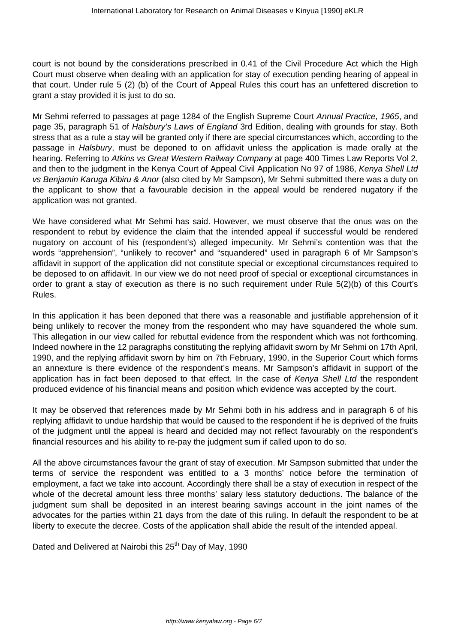court is not bound by the considerations prescribed in 0.41 of the Civil Procedure Act which the High Court must observe when dealing with an application for stay of execution pending hearing of appeal in that court. Under rule 5 (2) (b) of the Court of Appeal Rules this court has an unfettered discretion to grant a stay provided it is just to do so.

Mr Sehmi referred to passages at page 1284 of the English Supreme Court Annual Practice, 1965, and page 35, paragraph 51 of Halsbury's Laws of England 3rd Edition, dealing with grounds for stay. Both stress that as a rule a stay will be granted only if there are special circumstances which, according to the passage in Halsbury, must be deponed to on affidavit unless the application is made orally at the hearing. Referring to Atkins vs Great Western Railway Company at page 400 Times Law Reports Vol 2, and then to the judgment in the Kenya Court of Appeal Civil Application No 97 of 1986, Kenya Shell Ltd vs Benjamin Karuga Kibiru & Anor (also cited by Mr Sampson), Mr Sehmi submitted there was a duty on the applicant to show that a favourable decision in the appeal would be rendered nugatory if the application was not granted.

We have considered what Mr Sehmi has said. However, we must observe that the onus was on the respondent to rebut by evidence the claim that the intended appeal if successful would be rendered nugatory on account of his (respondent's) alleged impecunity. Mr Sehmi's contention was that the words "apprehension", "unlikely to recover" and "squandered" used in paragraph 6 of Mr Sampson's affidavit in support of the application did not constitute special or exceptional circumstances required to be deposed to on affidavit. In our view we do not need proof of special or exceptional circumstances in order to grant a stay of execution as there is no such requirement under Rule 5(2)(b) of this Court's Rules.

In this application it has been deponed that there was a reasonable and justifiable apprehension of it being unlikely to recover the money from the respondent who may have squandered the whole sum. This allegation in our view called for rebuttal evidence from the respondent which was not forthcoming. Indeed nowhere in the 12 paragraphs constituting the replying affidavit sworn by Mr Sehmi on 17th April, 1990, and the replying affidavit sworn by him on 7th February, 1990, in the Superior Court which forms an annexture is there evidence of the respondent's means. Mr Sampson's affidavit in support of the application has in fact been deposed to that effect. In the case of Kenya Shell Ltd the respondent produced evidence of his financial means and position which evidence was accepted by the court.

It may be observed that references made by Mr Sehmi both in his address and in paragraph 6 of his replying affidavit to undue hardship that would be caused to the respondent if he is deprived of the fruits of the judgment until the appeal is heard and decided may not reflect favourably on the respondent's financial resources and his ability to re-pay the judgment sum if called upon to do so.

All the above circumstances favour the grant of stay of execution. Mr Sampson submitted that under the terms of service the respondent was entitled to a 3 months' notice before the termination of employment, a fact we take into account. Accordingly there shall be a stay of execution in respect of the whole of the decretal amount less three months' salary less statutory deductions. The balance of the judgment sum shall be deposited in an interest bearing savings account in the joint names of the advocates for the parties within 21 days from the date of this ruling. In default the respondent to be at liberty to execute the decree. Costs of the application shall abide the result of the intended appeal.

Dated and Delivered at Nairobi this 25<sup>th</sup> Day of May, 1990